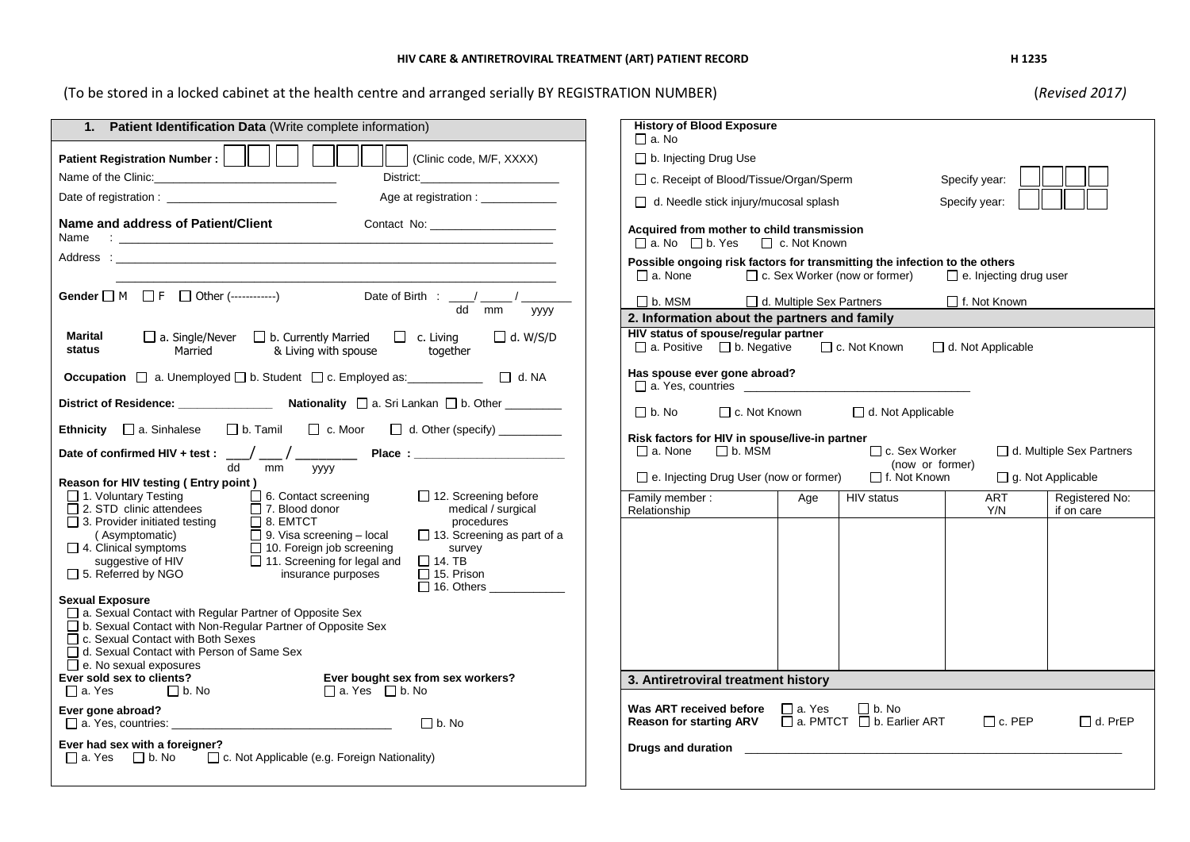## **HIV CARE & ANTIRETROVIRAL TREATMENT (ART) PATIENT RECORD H 1235**

(To be stored in a locked cabinet at the health centre and arranged serially BY REGISTRATION NUMBER) (*Revised 2017)*

| 1. Patient Identification Data (Write complete information)                                                                                                                                                                                                                                                                                                                                                                                                                                                                                                                         | <b>History of Blood Exposure</b><br>$\Box$ a. No                                                                                                                 |
|-------------------------------------------------------------------------------------------------------------------------------------------------------------------------------------------------------------------------------------------------------------------------------------------------------------------------------------------------------------------------------------------------------------------------------------------------------------------------------------------------------------------------------------------------------------------------------------|------------------------------------------------------------------------------------------------------------------------------------------------------------------|
| Clinic code, M/F, XXXX)<br>Patient Registration Number:                                                                                                                                                                                                                                                                                                                                                                                                                                                                                                                             | b. Injecting Drug Use                                                                                                                                            |
|                                                                                                                                                                                                                                                                                                                                                                                                                                                                                                                                                                                     | □ c. Receipt of Blood/Tissue/Organ/Sperm<br>Specify year:                                                                                                        |
| Age at registration :                                                                                                                                                                                                                                                                                                                                                                                                                                                                                                                                                               | Specify year:<br>d. Needle stick injury/mucosal splash                                                                                                           |
| Name and address of Patient/Client<br>Contact No:                                                                                                                                                                                                                                                                                                                                                                                                                                                                                                                                   | Acquired from mother to child transmission<br>□ a. No □ b. Yes □ c. Not Known                                                                                    |
|                                                                                                                                                                                                                                                                                                                                                                                                                                                                                                                                                                                     | Possible ongoing risk factors for transmitting the infection to the others<br>□ c. Sex Worker (now or former)<br>$\Box$ a. None<br>$\Box$ e. Injecting drug user |
| Gender $\Box$ M $\Box$ F $\Box$ Other (------------)<br>dd mm<br><b>VVVV</b>                                                                                                                                                                                                                                                                                                                                                                                                                                                                                                        | $\Box$ b. MSM<br>d. Multiple Sex Partners<br>□ f. Not Known<br>2. Information about the partners and family                                                      |
| $\Box$ a. Single/Never $\Box$ b. Currently Married<br>$\Box$ c. Living<br>$\Box$ d. W/S/D<br>Marital<br>status<br>Married<br>& Living with spouse<br>together                                                                                                                                                                                                                                                                                                                                                                                                                       | HIV status of spouse/regular partner<br>$\Box$ c. Not Known<br>$\Box$ a. Positive $\Box$ b. Negative<br>d. Not Applicable                                        |
| Occupation □ a. Unemployed □ b. Student □ c. Employed as: ___________ □ d. NA                                                                                                                                                                                                                                                                                                                                                                                                                                                                                                       | Has spouse ever gone abroad?<br>$\Box$ a. Yes, countries                                                                                                         |
|                                                                                                                                                                                                                                                                                                                                                                                                                                                                                                                                                                                     | $\Box$ b. No<br>□ c. Not Known<br>d. Not Applicable                                                                                                              |
| □ b. Tamil □ c. Moor □ d. Other (specify) ________<br><b>Ethnicity</b> $\Box$ a. Sinhalese                                                                                                                                                                                                                                                                                                                                                                                                                                                                                          | Risk factors for HIV in spouse/live-in partner                                                                                                                   |
|                                                                                                                                                                                                                                                                                                                                                                                                                                                                                                                                                                                     | $\Box$ a. None $\Box$ b. MSM<br>□ c. Sex Worker<br>d. Multiple Sex Partners<br>(now or former)                                                                   |
| dd mm yyyy<br>Reason for HIV testing (Entry point)                                                                                                                                                                                                                                                                                                                                                                                                                                                                                                                                  | $\Box$ f. Not Known<br>$\Box$ e. Injecting Drug User (now or former)<br>$\Box$ g. Not Applicable                                                                 |
| $\Box$ 1. Voluntary Testing<br>$\Box$ 6. Contact screening<br>$\Box$ 12. Screening before<br>$\Box$ 2. STD clinic attendees<br>$\overline{\Box}$ 7. Blood donor<br>medical / surgical<br>$\Box$ 3. Provider initiated testing<br>$\Box$ 8. EMTCT<br>procedures<br>$\Box$ 9. Visa screening – local<br>$\Box$ 13. Screening as part of a<br>(Asymptomatic)<br>$\Box$ 4. Clinical symptoms<br>$\Box$ 10. Foreign job screening<br>survey<br>11. Screening for legal and<br>$\Box$ 14. TB<br>suggestive of HIV<br>$\Box$ 5. Referred by NGO<br>insurance purposes<br>$\Box$ 15. Prison | Family member:<br><b>ART</b><br>Registered No:<br>HIV status<br>Age<br>Relationship<br>Y/N<br>if on care                                                         |
| <b>Sexual Exposure</b><br>□ a. Sexual Contact with Regular Partner of Opposite Sex<br>□ b. Sexual Contact with Non-Regular Partner of Opposite Sex<br>□ c. Sexual Contact with Both Sexes<br>d. Sexual Contact with Person of Same Sex<br>e. No sexual exposures<br>Ever sold sex to clients?<br>Ever bought sex from sex workers?                                                                                                                                                                                                                                                  | 3. Antiretroviral treatment history                                                                                                                              |
| $\Box$ b. No<br>$\Box$ a. Yes $\Box$ b. No<br>$\Box$ a. Yes                                                                                                                                                                                                                                                                                                                                                                                                                                                                                                                         |                                                                                                                                                                  |
| Ever gone abroad?<br>$\Box$ b. No                                                                                                                                                                                                                                                                                                                                                                                                                                                                                                                                                   | Was ART received before $\Box$ a. Yes<br>$\Box$ b. No<br><b>Reason for starting ARV</b> a. PMTCT <b>D</b> b. Earlier ART<br>$\Box$ c. PEP<br>$\Box$ d. PrEP      |
| Ever had sex with a foreigner?<br>$\Box$ a. Yes $\Box$ b. No<br>□ c. Not Applicable (e.g. Foreign Nationality)                                                                                                                                                                                                                                                                                                                                                                                                                                                                      |                                                                                                                                                                  |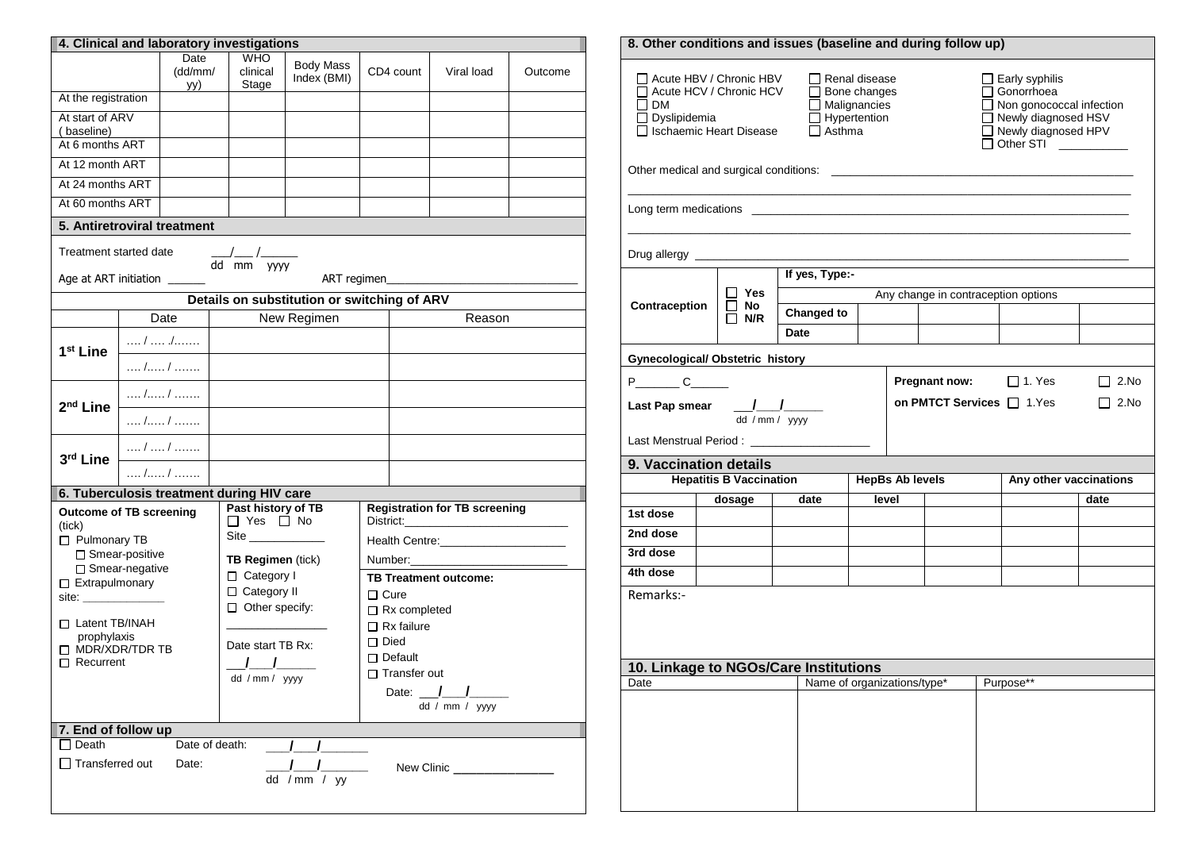| 4. Clinical and laboratory investigations                                                                                                                                                                                      |                        |                                |  |                                                                 |                                             |                                  |                                                                                 |                                              |         |  |  |
|--------------------------------------------------------------------------------------------------------------------------------------------------------------------------------------------------------------------------------|------------------------|--------------------------------|--|-----------------------------------------------------------------|---------------------------------------------|----------------------------------|---------------------------------------------------------------------------------|----------------------------------------------|---------|--|--|
|                                                                                                                                                                                                                                | Date<br>(dd/mm/<br>yy) |                                |  | <b>WHO</b><br>clinical<br>Stage                                 | <b>Body Mass</b><br>Index (BMI)             |                                  | CD4 count                                                                       | Viral load                                   | Outcome |  |  |
| At the registration                                                                                                                                                                                                            |                        |                                |  |                                                                 |                                             |                                  |                                                                                 |                                              |         |  |  |
| At start of ARV<br>(baseline)                                                                                                                                                                                                  |                        |                                |  |                                                                 |                                             |                                  |                                                                                 |                                              |         |  |  |
| At 6 months ART                                                                                                                                                                                                                |                        |                                |  |                                                                 |                                             |                                  |                                                                                 |                                              |         |  |  |
| At 12 month ART                                                                                                                                                                                                                |                        |                                |  |                                                                 |                                             |                                  |                                                                                 |                                              |         |  |  |
| At 24 months ART                                                                                                                                                                                                               |                        |                                |  |                                                                 |                                             |                                  |                                                                                 |                                              |         |  |  |
| At 60 months ART                                                                                                                                                                                                               |                        |                                |  |                                                                 |                                             |                                  |                                                                                 |                                              |         |  |  |
| 5. Antiretroviral treatment                                                                                                                                                                                                    |                        |                                |  |                                                                 |                                             |                                  |                                                                                 |                                              |         |  |  |
| Treatment started date                                                                                                                                                                                                         |                        |                                |  | $\frac{1}{2}$<br>dd mm yyyy                                     |                                             |                                  |                                                                                 |                                              |         |  |  |
| Age at ART initiation _                                                                                                                                                                                                        |                        |                                |  |                                                                 | ART regimen                                 |                                  |                                                                                 |                                              |         |  |  |
|                                                                                                                                                                                                                                |                        |                                |  |                                                                 | Details on substitution or switching of ARV |                                  |                                                                                 |                                              |         |  |  |
|                                                                                                                                                                                                                                |                        | Date                           |  |                                                                 | New Regimen                                 |                                  |                                                                                 | Reason                                       |         |  |  |
| 1 <sup>st</sup> Line                                                                                                                                                                                                           |                        | /  ./                          |  |                                                                 |                                             |                                  |                                                                                 |                                              |         |  |  |
|                                                                                                                                                                                                                                |                        | $\dots$ / $\dots$ / $\dots$    |  |                                                                 |                                             |                                  |                                                                                 |                                              |         |  |  |
| 2 <sup>nd</sup> Line                                                                                                                                                                                                           |                        | / /                            |  |                                                                 |                                             |                                  |                                                                                 |                                              |         |  |  |
|                                                                                                                                                                                                                                |                        | $\ldots$ , $\ldots$ , $\ldots$ |  |                                                                 |                                             |                                  |                                                                                 |                                              |         |  |  |
| 3rd Line                                                                                                                                                                                                                       |                        | /  /                           |  |                                                                 |                                             |                                  |                                                                                 |                                              |         |  |  |
|                                                                                                                                                                                                                                |                        | $\dots$ / /                    |  |                                                                 |                                             |                                  |                                                                                 |                                              |         |  |  |
| 6. Tuberculosis treatment during HIV care                                                                                                                                                                                      |                        |                                |  |                                                                 |                                             |                                  |                                                                                 |                                              |         |  |  |
| <b>Outcome of TB screening</b><br>(tick)<br>Pulmonary TB<br>□ Smear-positive                                                                                                                                                   |                        |                                |  | Past history of TB<br>$\Box$ Yes $\Box$ No<br>TB Regimen (tick) |                                             |                                  | <b>Registration for TB screening</b><br>Health Centre:_________________________ |                                              |         |  |  |
| □ Smear-negative<br>□ Extrapulmonary                                                                                                                                                                                           |                        |                                |  | □ Category I                                                    |                                             | <b>TB Treatment outcome:</b>     |                                                                                 |                                              |         |  |  |
| site: when the same of the same of the same of the same of the same of the same of the same of the same of the same of the same of the same of the same of the same of the same of the same of the same of the same of the sam |                        |                                |  | □ Category II                                                   |                                             | $\Box$ Cure                      |                                                                                 |                                              |         |  |  |
| □ Latent TB/INAH                                                                                                                                                                                                               |                        |                                |  | $\Box$ Other specify:                                           |                                             | $\Box$ Rx completed              |                                                                                 |                                              |         |  |  |
| prophylaxis                                                                                                                                                                                                                    |                        |                                |  | Date start TB Rx:                                               |                                             | $\Box$ Rx failure<br>$\Box$ Died |                                                                                 |                                              |         |  |  |
| $\Box$ MDR/XDR/TDR TB<br>$\Box$ Recurrent                                                                                                                                                                                      |                        |                                |  | <u>J J</u>                                                      |                                             |                                  | $\Box$ Default                                                                  |                                              |         |  |  |
|                                                                                                                                                                                                                                |                        |                                |  | dd / mm / yyyy                                                  |                                             | $\Box$ Transfer out              |                                                                                 |                                              |         |  |  |
|                                                                                                                                                                                                                                |                        |                                |  |                                                                 |                                             |                                  |                                                                                 | Date: $\frac{1}{\sqrt{2}}$<br>dd / mm / yyyy |         |  |  |
| 7. End of follow up                                                                                                                                                                                                            |                        |                                |  |                                                                 |                                             |                                  |                                                                                 |                                              |         |  |  |
| $\Box$ Death                                                                                                                                                                                                                   |                        | Date of death:                 |  |                                                                 | $\sqrt{1}$                                  |                                  |                                                                                 |                                              |         |  |  |
| $\Box$ Transferred out                                                                                                                                                                                                         |                        | Date:                          |  |                                                                 | $\frac{1}{2}$                               |                                  |                                                                                 | New Clinic _______                           |         |  |  |
| dd / mm / $yy$                                                                                                                                                                                                                 |                        |                                |  |                                                                 |                                             |                                  |                                                                                 |                                              |         |  |  |

|                                                                                                                                                                                                                                                                                                                                                                                                             | 8. Other conditions and issues (baseline and during follow up) |                                                            |                                       |       |                        |                      |  |                                     |             |  |  |
|-------------------------------------------------------------------------------------------------------------------------------------------------------------------------------------------------------------------------------------------------------------------------------------------------------------------------------------------------------------------------------------------------------------|----------------------------------------------------------------|------------------------------------------------------------|---------------------------------------|-------|------------------------|----------------------|--|-------------------------------------|-------------|--|--|
| Acute HBV / Chronic HBV<br>Renal disease<br>$\Box$ Early syphilis<br>Gonorrhoea<br>Acute HCV / Chronic HCV<br>$\Box$ Bone changes<br>Non gonococcal infection<br>$\Box$ Malignancies<br>I I DM<br>□ Newly diagnosed HSV<br>$\Box$ Dyslipidemia<br>$\Box$ Hypertention<br>□ Ischaemic Heart Disease<br>$\Box$ Asthma<br>□ Newly diagnosed HPV<br>$\Box$ Other STI<br>$\mathcal{L}^{\text{max}}_{\text{max}}$ |                                                                |                                                            |                                       |       |                        |                      |  |                                     |             |  |  |
|                                                                                                                                                                                                                                                                                                                                                                                                             |                                                                |                                                            |                                       |       |                        |                      |  |                                     |             |  |  |
|                                                                                                                                                                                                                                                                                                                                                                                                             |                                                                |                                                            |                                       |       |                        |                      |  |                                     |             |  |  |
| Drug allergy _____________                                                                                                                                                                                                                                                                                                                                                                                  |                                                                |                                                            |                                       |       |                        |                      |  |                                     |             |  |  |
|                                                                                                                                                                                                                                                                                                                                                                                                             |                                                                |                                                            | If yes, Type:-                        |       |                        |                      |  |                                     |             |  |  |
| Contraception                                                                                                                                                                                                                                                                                                                                                                                               |                                                                | Yes                                                        |                                       |       |                        |                      |  | Any change in contraception options |             |  |  |
|                                                                                                                                                                                                                                                                                                                                                                                                             |                                                                | No<br>N/R                                                  | <b>Changed to</b>                     |       |                        |                      |  |                                     |             |  |  |
|                                                                                                                                                                                                                                                                                                                                                                                                             |                                                                |                                                            | Date                                  |       |                        |                      |  |                                     |             |  |  |
| <b>Gynecological/ Obstetric history</b>                                                                                                                                                                                                                                                                                                                                                                     |                                                                |                                                            |                                       |       |                        |                      |  |                                     |             |  |  |
| $P$ $C$ $C$                                                                                                                                                                                                                                                                                                                                                                                                 |                                                                |                                                            |                                       |       |                        | <b>Pregnant now:</b> |  | $\Box$ 1. Yes                       | $\Box$ 2.No |  |  |
|                                                                                                                                                                                                                                                                                                                                                                                                             |                                                                |                                                            |                                       |       |                        |                      |  |                                     |             |  |  |
|                                                                                                                                                                                                                                                                                                                                                                                                             |                                                                | on PMTCT Services □ 1.Yes<br>$\Box$ 2.No<br>dd / mm / yyyy |                                       |       |                        |                      |  |                                     |             |  |  |
|                                                                                                                                                                                                                                                                                                                                                                                                             |                                                                |                                                            |                                       |       |                        |                      |  |                                     |             |  |  |
|                                                                                                                                                                                                                                                                                                                                                                                                             |                                                                |                                                            |                                       |       |                        |                      |  |                                     |             |  |  |
|                                                                                                                                                                                                                                                                                                                                                                                                             |                                                                |                                                            |                                       |       |                        |                      |  |                                     |             |  |  |
|                                                                                                                                                                                                                                                                                                                                                                                                             |                                                                | <b>Hepatitis B Vaccination</b>                             |                                       |       | <b>HepBs Ab levels</b> |                      |  | Any other vaccinations              |             |  |  |
|                                                                                                                                                                                                                                                                                                                                                                                                             |                                                                | dosage                                                     | date                                  | level |                        |                      |  |                                     | date        |  |  |
|                                                                                                                                                                                                                                                                                                                                                                                                             |                                                                |                                                            |                                       |       |                        |                      |  |                                     |             |  |  |
| Last Menstrual Period: _______________<br>9. Vaccination details<br>1st dose<br>2nd dose                                                                                                                                                                                                                                                                                                                    |                                                                |                                                            |                                       |       |                        |                      |  |                                     |             |  |  |
| 3rd dose                                                                                                                                                                                                                                                                                                                                                                                                    |                                                                |                                                            |                                       |       |                        |                      |  |                                     |             |  |  |
| 4th dose                                                                                                                                                                                                                                                                                                                                                                                                    |                                                                |                                                            |                                       |       |                        |                      |  |                                     |             |  |  |
| Remarks:-                                                                                                                                                                                                                                                                                                                                                                                                   |                                                                |                                                            |                                       |       |                        |                      |  |                                     |             |  |  |
|                                                                                                                                                                                                                                                                                                                                                                                                             |                                                                |                                                            |                                       |       |                        |                      |  |                                     |             |  |  |
|                                                                                                                                                                                                                                                                                                                                                                                                             |                                                                |                                                            |                                       |       |                        |                      |  |                                     |             |  |  |
|                                                                                                                                                                                                                                                                                                                                                                                                             |                                                                |                                                            |                                       |       |                        |                      |  |                                     |             |  |  |
|                                                                                                                                                                                                                                                                                                                                                                                                             |                                                                |                                                            | 10. Linkage to NGOs/Care Institutions |       |                        |                      |  |                                     |             |  |  |
|                                                                                                                                                                                                                                                                                                                                                                                                             |                                                                |                                                            | Name of organizations/type*           |       |                        |                      |  | Purpose**                           |             |  |  |
|                                                                                                                                                                                                                                                                                                                                                                                                             |                                                                |                                                            |                                       |       |                        |                      |  |                                     |             |  |  |
| Date                                                                                                                                                                                                                                                                                                                                                                                                        |                                                                |                                                            |                                       |       |                        |                      |  |                                     |             |  |  |
|                                                                                                                                                                                                                                                                                                                                                                                                             |                                                                |                                                            |                                       |       |                        |                      |  |                                     |             |  |  |
|                                                                                                                                                                                                                                                                                                                                                                                                             |                                                                |                                                            |                                       |       |                        |                      |  |                                     |             |  |  |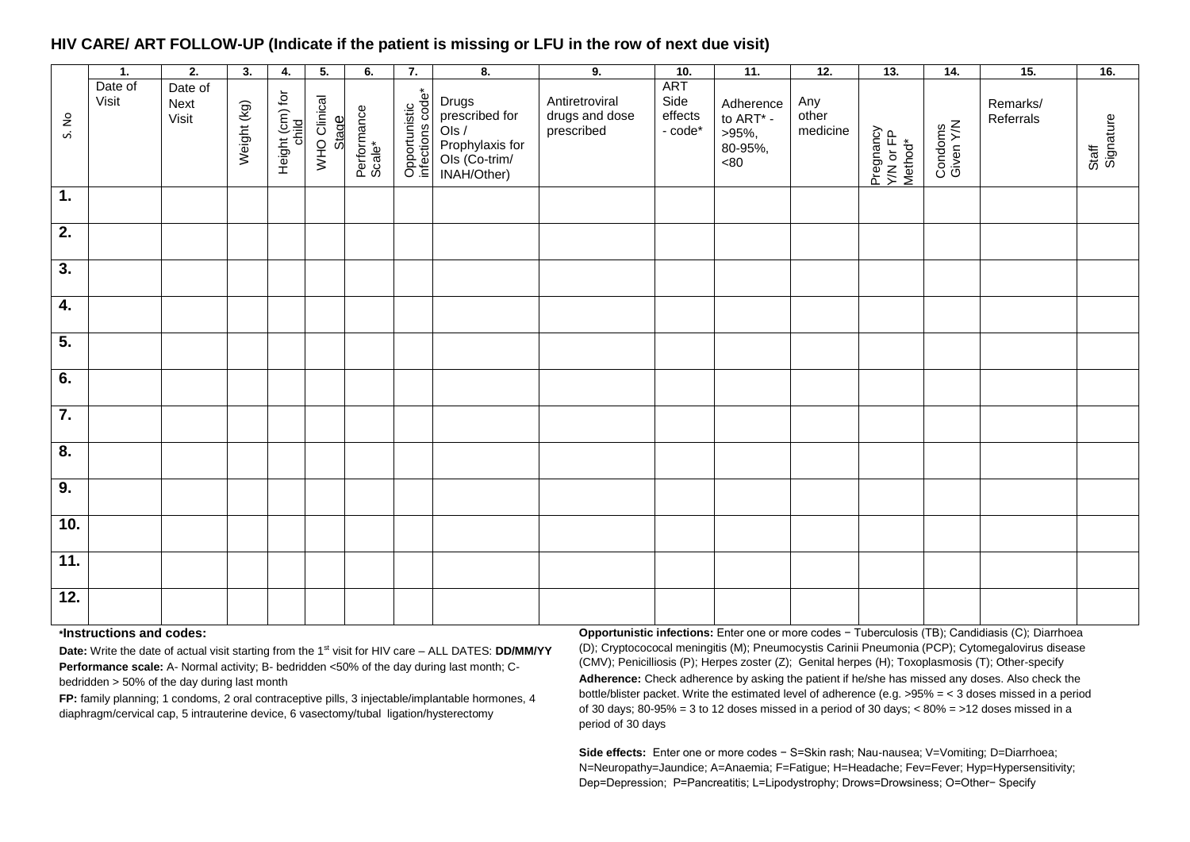## **HIV CARE/ ART FOLLOW-UP (Indicate if the patient is missing or LFU in the row of next due visit)**

|                  | 1.               | $\overline{2}$ .                | 3.          | 4.                       | 5.                    | 6.                    | 7.                                | 8.                                                                                  | 9.                                             | 10.                                  | $\overline{11}$ .                                                   | 12.                      | 13.                               | 14.                  | 15.                   | 16.                |
|------------------|------------------|---------------------------------|-------------|--------------------------|-----------------------|-----------------------|-----------------------------------|-------------------------------------------------------------------------------------|------------------------------------------------|--------------------------------------|---------------------------------------------------------------------|--------------------------|-----------------------------------|----------------------|-----------------------|--------------------|
| S. No            | Date of<br>Visit | Date of<br><b>Next</b><br>Visit | Weight (kg) | Height (cm) for<br>child | WHO Clinical<br>Stage | Performance<br>Scale* | Opportunistic<br>infections code* | Drugs<br>prescribed for<br>Ols /<br>Prophylaxis for<br>Ols (Co-trim/<br>INAH/Other) | Antiretroviral<br>drugs and dose<br>prescribed | ART<br>Side<br>effects<br>- $code^*$ | Adherence<br>to $\mathsf{ART}^*$ -<br>>95%,<br>80-95%,<br>$<\!\!80$ | Any<br>other<br>medicine | Pregnancy<br>Y/N or FP<br>Method* | Condoms<br>Given Y/N | Remarks/<br>Referrals | Signature<br>Staff |
| $\overline{1}$ . |                  |                                 |             |                          |                       |                       |                                   |                                                                                     |                                                |                                      |                                                                     |                          |                                   |                      |                       |                    |
| $\overline{2}$ . |                  |                                 |             |                          |                       |                       |                                   |                                                                                     |                                                |                                      |                                                                     |                          |                                   |                      |                       |                    |
| $\overline{3}$ . |                  |                                 |             |                          |                       |                       |                                   |                                                                                     |                                                |                                      |                                                                     |                          |                                   |                      |                       |                    |
| $\overline{4}$ . |                  |                                 |             |                          |                       |                       |                                   |                                                                                     |                                                |                                      |                                                                     |                          |                                   |                      |                       |                    |
| $\overline{5}$ . |                  |                                 |             |                          |                       |                       |                                   |                                                                                     |                                                |                                      |                                                                     |                          |                                   |                      |                       |                    |
| $\overline{6}$ . |                  |                                 |             |                          |                       |                       |                                   |                                                                                     |                                                |                                      |                                                                     |                          |                                   |                      |                       |                    |
| $\overline{7}$   |                  |                                 |             |                          |                       |                       |                                   |                                                                                     |                                                |                                      |                                                                     |                          |                                   |                      |                       |                    |
| $\overline{8}$ . |                  |                                 |             |                          |                       |                       |                                   |                                                                                     |                                                |                                      |                                                                     |                          |                                   |                      |                       |                    |
| 9.               |                  |                                 |             |                          |                       |                       |                                   |                                                                                     |                                                |                                      |                                                                     |                          |                                   |                      |                       |                    |
| 10.              |                  |                                 |             |                          |                       |                       |                                   |                                                                                     |                                                |                                      |                                                                     |                          |                                   |                      |                       |                    |
| 11.              |                  |                                 |             |                          |                       |                       |                                   |                                                                                     |                                                |                                      |                                                                     |                          |                                   |                      |                       |                    |
| 12.              |                  |                                 |             |                          |                       |                       |                                   |                                                                                     |                                                |                                      |                                                                     |                          |                                   |                      |                       |                    |

## **\*Instructions and codes:**

**Date:** Write the date of actual visit starting from the 1st visit for HIV care – ALL DATES: **DD/MM/YY Performance scale:** A- Normal activity; B- bedridden <50% of the day during last month; Cbedridden > 50% of the day during last month

**FP:** family planning; 1 condoms, 2 oral contraceptive pills, 3 injectable/implantable hormones, 4 diaphragm/cervical cap, 5 intrauterine device, 6 vasectomy/tubal ligation/hysterectomy

**Opportunistic infections:** Enter one or more codes − Tuberculosis (TB); Candidiasis (C); Diarrhoea (D); Cryptocococal meningitis (M); Pneumocystis Carinii Pneumonia (PCP); Cytomegalovirus disease (CMV); Penicilliosis (P); Herpes zoster (Z); Genital herpes (H); Toxoplasmosis (T); Other-specify **Adherence:** Check adherence by asking the patient if he/she has missed any doses. Also check the bottle/blister packet. Write the estimated level of adherence (e.g. >95% = < 3 doses missed in a period of 30 days;  $80-95% = 3$  to 12 doses missed in a period of 30 days;  $< 80% = >12$  doses missed in a period of 30 days

**Side effects:** Enter one or more codes − S=Skin rash; Nau-nausea; V=Vomiting; D=Diarrhoea; N=Neuropathy=Jaundice; A=Anaemia; F=Fatigue; H=Headache; Fev=Fever; Hyp=Hypersensitivity; Dep=Depression; P=Pancreatitis; L=Lipodystrophy; Drows=Drowsiness; O=Other− Specify